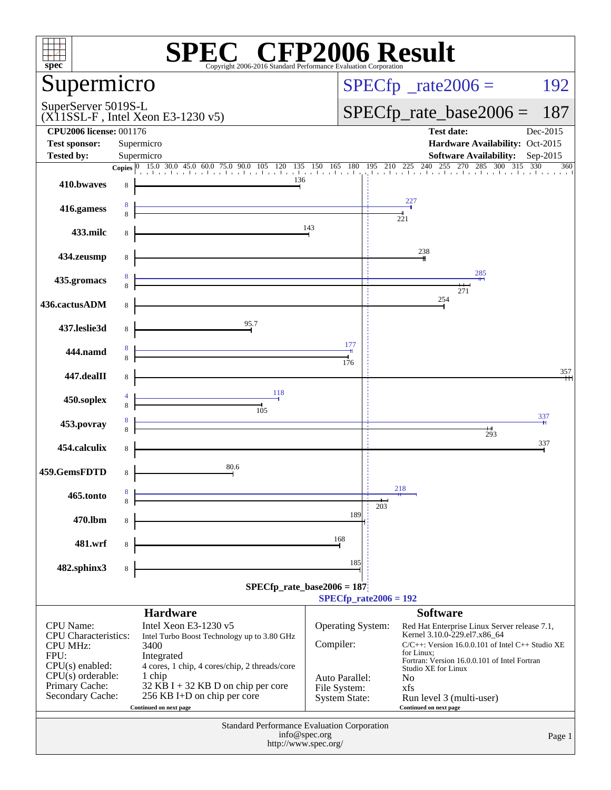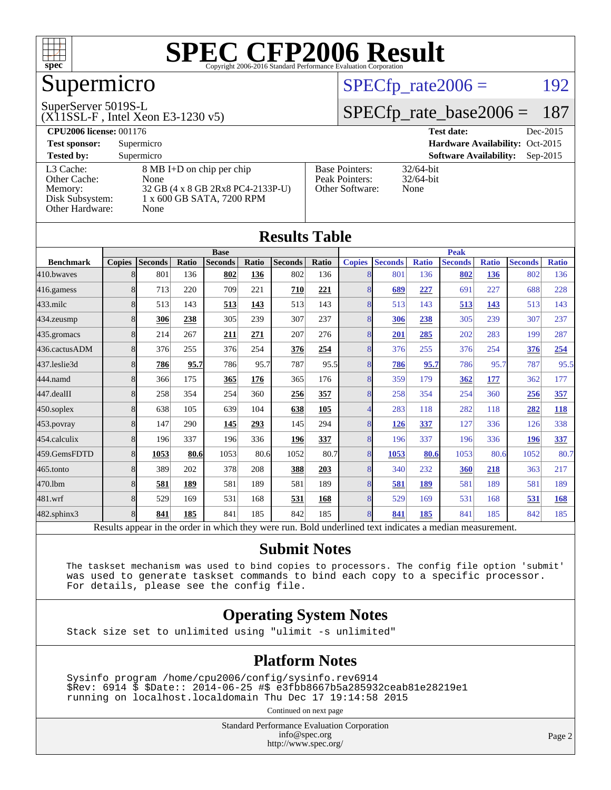

## Supermicro

#### SuperServer 5019S-L

(X11SSL-F , Intel Xeon E3-1230 v5)

### $SPECTp_rate2006 = 192$

### [SPECfp\\_rate\\_base2006 =](http://www.spec.org/auto/cpu2006/Docs/result-fields.html#SPECfpratebase2006) 187

| <b>CPU2006 license: 001176</b> |                                   |                       | <b>Test date:</b><br>Dec-2015               |
|--------------------------------|-----------------------------------|-----------------------|---------------------------------------------|
| <b>Test sponsor:</b>           | Supermicro                        |                       | Hardware Availability: Oct-2015             |
| <b>Tested by:</b>              | Supermicro                        |                       | <b>Software Availability:</b><br>$Sep-2015$ |
| L3 Cache:                      | 8 MB I+D on chip per chip         | <b>Base Pointers:</b> | $32/64$ -bit                                |
| Other Cache:                   | None                              | Peak Pointers:        | $32/64$ -bit                                |
| Memory:                        | 32 GB (4 x 8 GB 2Rx8 PC4-2133P-U) | Other Software:       | None                                        |
| Disk Subsystem:                | 1 x 600 GB SATA, 7200 RPM         |                       |                                             |
| Other Hardware:                | None                              |                       |                                             |

**[Results Table](http://www.spec.org/auto/cpu2006/Docs/result-fields.html#ResultsTable)**

|                  |               |                |       |                                                                                                          |       | Results Table  |              |               |                |              |                |              |                |              |
|------------------|---------------|----------------|-------|----------------------------------------------------------------------------------------------------------|-------|----------------|--------------|---------------|----------------|--------------|----------------|--------------|----------------|--------------|
|                  | <b>Base</b>   |                |       |                                                                                                          |       | <b>Peak</b>    |              |               |                |              |                |              |                |              |
| <b>Benchmark</b> | <b>Copies</b> | <b>Seconds</b> | Ratio | <b>Seconds</b>                                                                                           | Ratio | <b>Seconds</b> | <b>Ratio</b> | <b>Copies</b> | <b>Seconds</b> | <b>Ratio</b> | <b>Seconds</b> | <b>Ratio</b> | <b>Seconds</b> | <b>Ratio</b> |
| 410.bwayes       | 8             | 801            | 136   | 802                                                                                                      | 136   | 802            | 136          | 8             | 801            | 136          | 802            | 136          | 802            | 136          |
| 416.gamess       | 8             | 713            | 220   | 709                                                                                                      | 221   | 710            | 221          | 8             | 689            | 227          | 691            | 227          | 688            | 228          |
| $433$ .milc      | 8             | 513            | 143   | 513                                                                                                      | 143   | 513            | 143          | 8             | 513            | 143          | 513            | 143          | 513            | 143          |
| 434.zeusmp       | 8             | 306            | 238   | 305                                                                                                      | 239   | 307            | 237          | 8             | 306            | 238          | 305            | 239          | 307            | 237          |
| 435.gromacs      | 8             | 214            | 267   | 211                                                                                                      | 271   | 207            | 276          | 8             | 201            | 285          | 202            | 283          | 199            | 287          |
| 436.cactusADM    | 8             | 376            | 255   | 376                                                                                                      | 254   | 376            | 254          | 8             | 376            | 255          | 376            | 254          | 376            | 254          |
| 437.leslie3d     | 8             | 786            | 95.7  | 786                                                                                                      | 95.7  | 787            | 95.5         | 8             | 786            | 95.7         | 786            | 95.7         | 787            | 95.5         |
| 444.namd         | 8             | 366            | 175   | 365                                                                                                      | 176   | 365            | 176          | 8             | 359            | 179          | 362            | 177          | 362            | 177          |
| 447.dealII       | 8             | 258            | 354   | 254                                                                                                      | 360   | 256            | 357          | 8             | 258            | 354          | 254            | 360          | 256            | 357          |
| 450.soplex       | 8             | 638            | 105   | 639                                                                                                      | 104   | 638            | 105          | 4             | 283            | 118          | 282            | 118          | 282            | <b>118</b>   |
| 453.povray       | 8             | 147            | 290   | 145                                                                                                      | 293   | 145            | 294          | 8             | 126            | 337          | 127            | 336          | 126            | 338          |
| 454.calculix     | 8             | 196            | 337   | 196                                                                                                      | 336   | 196            | 337          | 8             | 196            | 337          | 196            | 336          | 196            | <u>337</u>   |
| 459.GemsFDTD     | 8             | 1053           | 80.6  | 1053                                                                                                     | 80.6  | 1052           | 80.7         | 8             | 1053           | 80.6         | 1053           | 80.6         | 1052           | 80.7         |
| 465.tonto        | 8             | 389            | 202   | 378                                                                                                      | 208   | 388            | 203          | 8             | 340            | 232          | 360            | 218          | 363            | 217          |
| 470.1bm          | 8             | 581            | 189   | 581                                                                                                      | 189   | 581            | 189          | 8             | 581            | 189          | 581            | 189          | 581            | 189          |
| 481.wrf          | 8             | 529            | 169   | 531                                                                                                      | 168   | 531            | 168          | 8             | 529            | 169          | 531            | 168          | 531            | 168          |
| 482.sphinx3      | 8             | 841            | 185   | 841                                                                                                      | 185   | 842            | 185          | 8             | 841            | 185          | 841            | 185          | 842            | 185          |
|                  |               |                |       | Results appear in the order in which they were run. Bold underlined text indicates a median measurement. |       |                |              |               |                |              |                |              |                |              |

#### **[Submit Notes](http://www.spec.org/auto/cpu2006/Docs/result-fields.html#SubmitNotes)**

 The taskset mechanism was used to bind copies to processors. The config file option 'submit' was used to generate taskset commands to bind each copy to a specific processor. For details, please see the config file.

#### **[Operating System Notes](http://www.spec.org/auto/cpu2006/Docs/result-fields.html#OperatingSystemNotes)**

Stack size set to unlimited using "ulimit -s unlimited"

#### **[Platform Notes](http://www.spec.org/auto/cpu2006/Docs/result-fields.html#PlatformNotes)**

 Sysinfo program /home/cpu2006/config/sysinfo.rev6914 \$Rev: 6914 \$ \$Date:: 2014-06-25 #\$ e3fbb8667b5a285932ceab81e28219e1 running on localhost.localdomain Thu Dec 17 19:14:58 2015

Continued on next page

Standard Performance Evaluation Corporation [info@spec.org](mailto:info@spec.org) <http://www.spec.org/>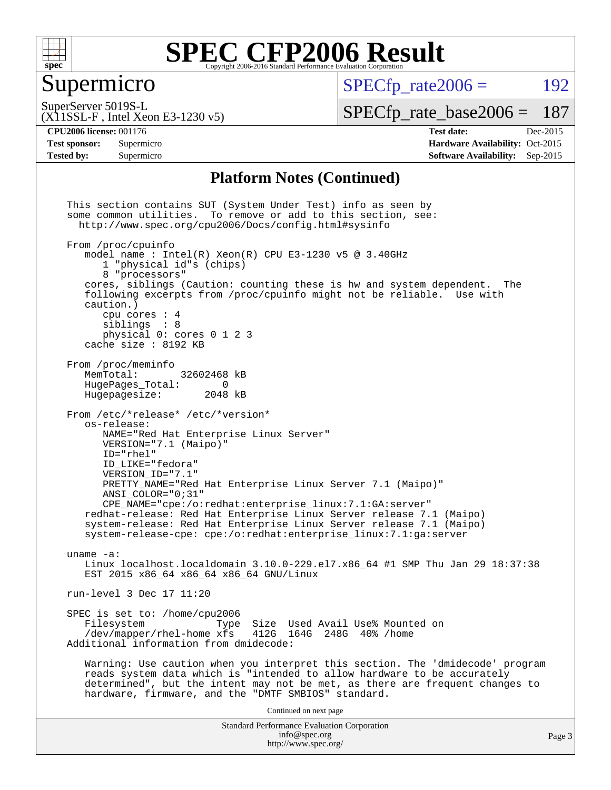

### Supermicro

 $SPECTp\_rate2006 = 192$ 

(X11SSL-F , Intel Xeon E3-1230 v5) SuperServer 5019S-L

[SPECfp\\_rate\\_base2006 =](http://www.spec.org/auto/cpu2006/Docs/result-fields.html#SPECfpratebase2006) 187

**[Tested by:](http://www.spec.org/auto/cpu2006/Docs/result-fields.html#Testedby)** Supermicro **[Software Availability:](http://www.spec.org/auto/cpu2006/Docs/result-fields.html#SoftwareAvailability)** Sep-2015

**[CPU2006 license:](http://www.spec.org/auto/cpu2006/Docs/result-fields.html#CPU2006license)** 001176 **[Test date:](http://www.spec.org/auto/cpu2006/Docs/result-fields.html#Testdate)** Dec-2015 **[Test sponsor:](http://www.spec.org/auto/cpu2006/Docs/result-fields.html#Testsponsor)** Supermicro Supermicro **[Hardware Availability:](http://www.spec.org/auto/cpu2006/Docs/result-fields.html#HardwareAvailability)** Oct-2015

#### **[Platform Notes \(Continued\)](http://www.spec.org/auto/cpu2006/Docs/result-fields.html#PlatformNotes)**

Standard Performance Evaluation Corporation [info@spec.org](mailto:info@spec.org) <http://www.spec.org/> This section contains SUT (System Under Test) info as seen by some common utilities. To remove or add to this section, see: <http://www.spec.org/cpu2006/Docs/config.html#sysinfo> From /proc/cpuinfo model name : Intel $(R)$  Xeon $(R)$  CPU E3-1230 v5 @ 3.40GHz 1 "physical id"s (chips) 8 "processors" cores, siblings (Caution: counting these is hw and system dependent. The following excerpts from /proc/cpuinfo might not be reliable. Use with caution.) cpu cores : 4 siblings : 8 physical 0: cores 0 1 2 3 cache size : 8192 KB From /proc/meminfo MemTotal: 32602468 kB<br>HugePages Total: 0 HugePages\_Total: 0 Hugepagesize: 2048 kB From /etc/\*release\* /etc/\*version\* os-release: NAME="Red Hat Enterprise Linux Server" VERSION="7.1 (Maipo)" ID="rhel" ID\_LIKE="fedora" VERSION\_ID="7.1" PRETTY\_NAME="Red Hat Enterprise Linux Server 7.1 (Maipo)" ANSI\_COLOR="0;31" CPE\_NAME="cpe:/o:redhat:enterprise\_linux:7.1:GA:server" redhat-release: Red Hat Enterprise Linux Server release 7.1 (Maipo) system-release: Red Hat Enterprise Linux Server release 7.1 (Maipo) system-release-cpe: cpe:/o:redhat:enterprise\_linux:7.1:ga:server uname -a: Linux localhost.localdomain 3.10.0-229.el7.x86\_64 #1 SMP Thu Jan 29 18:37:38 EST 2015 x86\_64 x86\_64 x86\_64 GNU/Linux run-level 3 Dec 17 11:20 SPEC is set to: /home/cpu2006<br>Filesystem Type Type Size Used Avail Use% Mounted on /dev/mapper/rhel-home xfs 412G 164G 248G 40% /home Additional information from dmidecode: Warning: Use caution when you interpret this section. The 'dmidecode' program reads system data which is "intended to allow hardware to be accurately determined", but the intent may not be met, as there are frequent changes to hardware, firmware, and the "DMTF SMBIOS" standard. Continued on next page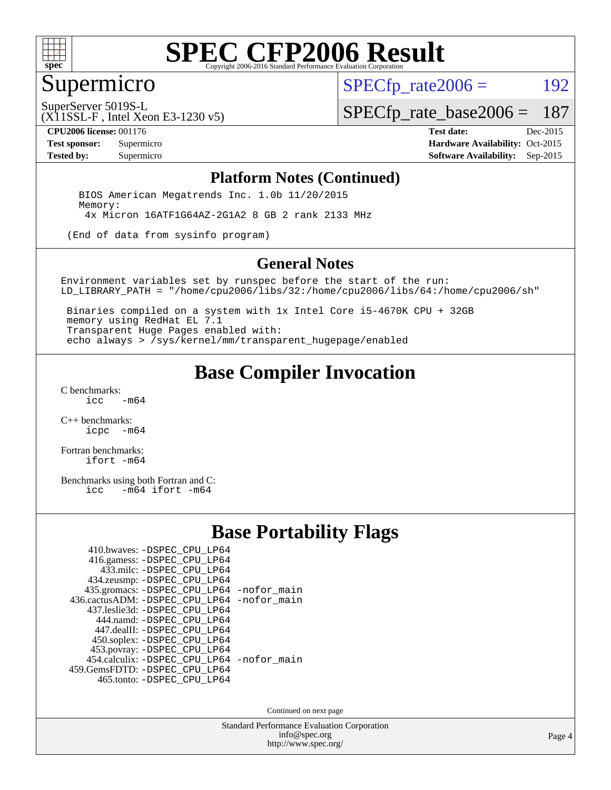

## Supermicro

 $SPECTp\_rate2006 = 192$ 

SuperServer 5019S-L

[SPECfp\\_rate\\_base2006 =](http://www.spec.org/auto/cpu2006/Docs/result-fields.html#SPECfpratebase2006) 187

(X11SSL-F , Intel Xeon E3-1230 v5)

**[CPU2006 license:](http://www.spec.org/auto/cpu2006/Docs/result-fields.html#CPU2006license)** 001176 **[Test date:](http://www.spec.org/auto/cpu2006/Docs/result-fields.html#Testdate)** Dec-2015 **[Test sponsor:](http://www.spec.org/auto/cpu2006/Docs/result-fields.html#Testsponsor)** Supermicro Supermicro **[Hardware Availability:](http://www.spec.org/auto/cpu2006/Docs/result-fields.html#HardwareAvailability)** Oct-2015 **[Tested by:](http://www.spec.org/auto/cpu2006/Docs/result-fields.html#Testedby)** Supermicro **Supermicro [Software Availability:](http://www.spec.org/auto/cpu2006/Docs/result-fields.html#SoftwareAvailability)** Sep-2015

#### **[Platform Notes \(Continued\)](http://www.spec.org/auto/cpu2006/Docs/result-fields.html#PlatformNotes)**

 BIOS American Megatrends Inc. 1.0b 11/20/2015 Memory: 4x Micron 16ATF1G64AZ-2G1A2 8 GB 2 rank 2133 MHz

(End of data from sysinfo program)

#### **[General Notes](http://www.spec.org/auto/cpu2006/Docs/result-fields.html#GeneralNotes)**

Environment variables set by runspec before the start of the run: LD\_LIBRARY\_PATH = "/home/cpu2006/libs/32:/home/cpu2006/libs/64:/home/cpu2006/sh"

 Binaries compiled on a system with 1x Intel Core i5-4670K CPU + 32GB memory using RedHat EL 7.1 Transparent Huge Pages enabled with: echo always > /sys/kernel/mm/transparent\_hugepage/enabled

## **[Base Compiler Invocation](http://www.spec.org/auto/cpu2006/Docs/result-fields.html#BaseCompilerInvocation)**

[C benchmarks](http://www.spec.org/auto/cpu2006/Docs/result-fields.html#Cbenchmarks):  $-m64$ 

[C++ benchmarks:](http://www.spec.org/auto/cpu2006/Docs/result-fields.html#CXXbenchmarks) [icpc -m64](http://www.spec.org/cpu2006/results/res2016q1/cpu2006-20151223-38513.flags.html#user_CXXbase_intel_icpc_64bit_bedb90c1146cab66620883ef4f41a67e)

[Fortran benchmarks](http://www.spec.org/auto/cpu2006/Docs/result-fields.html#Fortranbenchmarks): [ifort -m64](http://www.spec.org/cpu2006/results/res2016q1/cpu2006-20151223-38513.flags.html#user_FCbase_intel_ifort_64bit_ee9d0fb25645d0210d97eb0527dcc06e)

[Benchmarks using both Fortran and C](http://www.spec.org/auto/cpu2006/Docs/result-fields.html#BenchmarksusingbothFortranandC):<br>icc -m64 ifort -m64  $-m64$  ifort  $-m64$ 

### **[Base Portability Flags](http://www.spec.org/auto/cpu2006/Docs/result-fields.html#BasePortabilityFlags)**

| 410.bwaves: -DSPEC CPU LP64                 |  |
|---------------------------------------------|--|
| 416.gamess: -DSPEC_CPU_LP64                 |  |
| 433.milc: -DSPEC CPU LP64                   |  |
| 434.zeusmp: -DSPEC CPU LP64                 |  |
| 435.gromacs: -DSPEC_CPU_LP64 -nofor_main    |  |
| 436.cactusADM: -DSPEC CPU LP64 -nofor main  |  |
| 437.leslie3d: -DSPEC CPU LP64               |  |
| 444.namd: -DSPEC CPU LP64                   |  |
| 447.dealII: -DSPEC_CPU LP64                 |  |
| 450.soplex: -DSPEC_CPU_LP64                 |  |
| 453.povray: -DSPEC_CPU_LP64                 |  |
| 454.calculix: - DSPEC CPU LP64 - nofor main |  |
| 459. GemsFDTD: - DSPEC CPU LP64             |  |
| 465.tonto: -DSPEC_CPU_LP64                  |  |

Continued on next page

Standard Performance Evaluation Corporation [info@spec.org](mailto:info@spec.org) <http://www.spec.org/>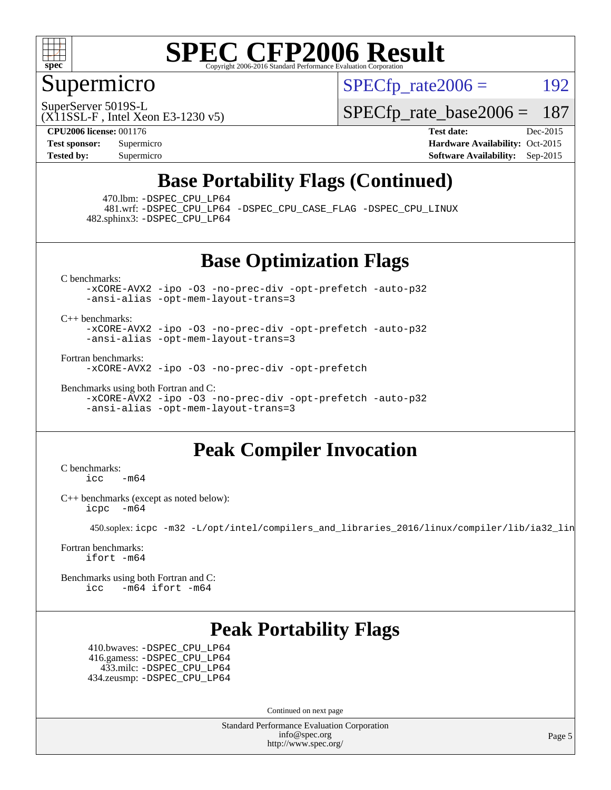

### Supermicro

 $SPECTp\_rate2006 = 192$ 

SuperServer 5019S-L

[SPECfp\\_rate\\_base2006 =](http://www.spec.org/auto/cpu2006/Docs/result-fields.html#SPECfpratebase2006) 187

(X11SSL-F , Intel Xeon E3-1230 v5) **[CPU2006 license:](http://www.spec.org/auto/cpu2006/Docs/result-fields.html#CPU2006license)** 001176 **[Test date:](http://www.spec.org/auto/cpu2006/Docs/result-fields.html#Testdate)** Dec-2015

**[Test sponsor:](http://www.spec.org/auto/cpu2006/Docs/result-fields.html#Testsponsor)** Supermicro Supermicro **[Hardware Availability:](http://www.spec.org/auto/cpu2006/Docs/result-fields.html#HardwareAvailability)** Oct-2015 **[Tested by:](http://www.spec.org/auto/cpu2006/Docs/result-fields.html#Testedby)** Supermicro **Supermicro [Software Availability:](http://www.spec.org/auto/cpu2006/Docs/result-fields.html#SoftwareAvailability)** Sep-2015

## **[Base Portability Flags \(Continued\)](http://www.spec.org/auto/cpu2006/Docs/result-fields.html#BasePortabilityFlags)**

470.lbm: [-DSPEC\\_CPU\\_LP64](http://www.spec.org/cpu2006/results/res2016q1/cpu2006-20151223-38513.flags.html#suite_basePORTABILITY470_lbm_DSPEC_CPU_LP64)

 481.wrf: [-DSPEC\\_CPU\\_LP64](http://www.spec.org/cpu2006/results/res2016q1/cpu2006-20151223-38513.flags.html#suite_basePORTABILITY481_wrf_DSPEC_CPU_LP64) [-DSPEC\\_CPU\\_CASE\\_FLAG](http://www.spec.org/cpu2006/results/res2016q1/cpu2006-20151223-38513.flags.html#b481.wrf_baseCPORTABILITY_DSPEC_CPU_CASE_FLAG) [-DSPEC\\_CPU\\_LINUX](http://www.spec.org/cpu2006/results/res2016q1/cpu2006-20151223-38513.flags.html#b481.wrf_baseCPORTABILITY_DSPEC_CPU_LINUX) 482.sphinx3: [-DSPEC\\_CPU\\_LP64](http://www.spec.org/cpu2006/results/res2016q1/cpu2006-20151223-38513.flags.html#suite_basePORTABILITY482_sphinx3_DSPEC_CPU_LP64)

**[Base Optimization Flags](http://www.spec.org/auto/cpu2006/Docs/result-fields.html#BaseOptimizationFlags)**

[C benchmarks](http://www.spec.org/auto/cpu2006/Docs/result-fields.html#Cbenchmarks):

[-xCORE-AVX2](http://www.spec.org/cpu2006/results/res2016q1/cpu2006-20151223-38513.flags.html#user_CCbase_f-xAVX2_5f5fc0cbe2c9f62c816d3e45806c70d7) [-ipo](http://www.spec.org/cpu2006/results/res2016q1/cpu2006-20151223-38513.flags.html#user_CCbase_f-ipo) [-O3](http://www.spec.org/cpu2006/results/res2016q1/cpu2006-20151223-38513.flags.html#user_CCbase_f-O3) [-no-prec-div](http://www.spec.org/cpu2006/results/res2016q1/cpu2006-20151223-38513.flags.html#user_CCbase_f-no-prec-div) [-opt-prefetch](http://www.spec.org/cpu2006/results/res2016q1/cpu2006-20151223-38513.flags.html#user_CCbase_f-opt-prefetch) [-auto-p32](http://www.spec.org/cpu2006/results/res2016q1/cpu2006-20151223-38513.flags.html#user_CCbase_f-auto-p32) [-ansi-alias](http://www.spec.org/cpu2006/results/res2016q1/cpu2006-20151223-38513.flags.html#user_CCbase_f-ansi-alias) [-opt-mem-layout-trans=3](http://www.spec.org/cpu2006/results/res2016q1/cpu2006-20151223-38513.flags.html#user_CCbase_f-opt-mem-layout-trans_a7b82ad4bd7abf52556d4961a2ae94d5)

[C++ benchmarks:](http://www.spec.org/auto/cpu2006/Docs/result-fields.html#CXXbenchmarks)

[-xCORE-AVX2](http://www.spec.org/cpu2006/results/res2016q1/cpu2006-20151223-38513.flags.html#user_CXXbase_f-xAVX2_5f5fc0cbe2c9f62c816d3e45806c70d7) [-ipo](http://www.spec.org/cpu2006/results/res2016q1/cpu2006-20151223-38513.flags.html#user_CXXbase_f-ipo) [-O3](http://www.spec.org/cpu2006/results/res2016q1/cpu2006-20151223-38513.flags.html#user_CXXbase_f-O3) [-no-prec-div](http://www.spec.org/cpu2006/results/res2016q1/cpu2006-20151223-38513.flags.html#user_CXXbase_f-no-prec-div) [-opt-prefetch](http://www.spec.org/cpu2006/results/res2016q1/cpu2006-20151223-38513.flags.html#user_CXXbase_f-opt-prefetch) [-auto-p32](http://www.spec.org/cpu2006/results/res2016q1/cpu2006-20151223-38513.flags.html#user_CXXbase_f-auto-p32) [-ansi-alias](http://www.spec.org/cpu2006/results/res2016q1/cpu2006-20151223-38513.flags.html#user_CXXbase_f-ansi-alias) [-opt-mem-layout-trans=3](http://www.spec.org/cpu2006/results/res2016q1/cpu2006-20151223-38513.flags.html#user_CXXbase_f-opt-mem-layout-trans_a7b82ad4bd7abf52556d4961a2ae94d5)

[Fortran benchmarks](http://www.spec.org/auto/cpu2006/Docs/result-fields.html#Fortranbenchmarks):

[-xCORE-AVX2](http://www.spec.org/cpu2006/results/res2016q1/cpu2006-20151223-38513.flags.html#user_FCbase_f-xAVX2_5f5fc0cbe2c9f62c816d3e45806c70d7) [-ipo](http://www.spec.org/cpu2006/results/res2016q1/cpu2006-20151223-38513.flags.html#user_FCbase_f-ipo) [-O3](http://www.spec.org/cpu2006/results/res2016q1/cpu2006-20151223-38513.flags.html#user_FCbase_f-O3) [-no-prec-div](http://www.spec.org/cpu2006/results/res2016q1/cpu2006-20151223-38513.flags.html#user_FCbase_f-no-prec-div) [-opt-prefetch](http://www.spec.org/cpu2006/results/res2016q1/cpu2006-20151223-38513.flags.html#user_FCbase_f-opt-prefetch)

[Benchmarks using both Fortran and C](http://www.spec.org/auto/cpu2006/Docs/result-fields.html#BenchmarksusingbothFortranandC): [-xCORE-AVX2](http://www.spec.org/cpu2006/results/res2016q1/cpu2006-20151223-38513.flags.html#user_CC_FCbase_f-xAVX2_5f5fc0cbe2c9f62c816d3e45806c70d7) [-ipo](http://www.spec.org/cpu2006/results/res2016q1/cpu2006-20151223-38513.flags.html#user_CC_FCbase_f-ipo) [-O3](http://www.spec.org/cpu2006/results/res2016q1/cpu2006-20151223-38513.flags.html#user_CC_FCbase_f-O3) [-no-prec-div](http://www.spec.org/cpu2006/results/res2016q1/cpu2006-20151223-38513.flags.html#user_CC_FCbase_f-no-prec-div) [-opt-prefetch](http://www.spec.org/cpu2006/results/res2016q1/cpu2006-20151223-38513.flags.html#user_CC_FCbase_f-opt-prefetch) [-auto-p32](http://www.spec.org/cpu2006/results/res2016q1/cpu2006-20151223-38513.flags.html#user_CC_FCbase_f-auto-p32) [-ansi-alias](http://www.spec.org/cpu2006/results/res2016q1/cpu2006-20151223-38513.flags.html#user_CC_FCbase_f-ansi-alias) [-opt-mem-layout-trans=3](http://www.spec.org/cpu2006/results/res2016q1/cpu2006-20151223-38513.flags.html#user_CC_FCbase_f-opt-mem-layout-trans_a7b82ad4bd7abf52556d4961a2ae94d5)

## **[Peak Compiler Invocation](http://www.spec.org/auto/cpu2006/Docs/result-fields.html#PeakCompilerInvocation)**

[C benchmarks](http://www.spec.org/auto/cpu2006/Docs/result-fields.html#Cbenchmarks):  $\text{icc}$  -m64

[C++ benchmarks \(except as noted below\):](http://www.spec.org/auto/cpu2006/Docs/result-fields.html#CXXbenchmarksexceptasnotedbelow) [icpc -m64](http://www.spec.org/cpu2006/results/res2016q1/cpu2006-20151223-38513.flags.html#user_CXXpeak_intel_icpc_64bit_bedb90c1146cab66620883ef4f41a67e)

450.soplex: [icpc -m32 -L/opt/intel/compilers\\_and\\_libraries\\_2016/linux/compiler/lib/ia32\\_lin](http://www.spec.org/cpu2006/results/res2016q1/cpu2006-20151223-38513.flags.html#user_peakCXXLD450_soplex_intel_icpc_b4f50a394bdb4597aa5879c16bc3f5c5)

[Fortran benchmarks](http://www.spec.org/auto/cpu2006/Docs/result-fields.html#Fortranbenchmarks): [ifort -m64](http://www.spec.org/cpu2006/results/res2016q1/cpu2006-20151223-38513.flags.html#user_FCpeak_intel_ifort_64bit_ee9d0fb25645d0210d97eb0527dcc06e)

[Benchmarks using both Fortran and C](http://www.spec.org/auto/cpu2006/Docs/result-fields.html#BenchmarksusingbothFortranandC): [icc -m64](http://www.spec.org/cpu2006/results/res2016q1/cpu2006-20151223-38513.flags.html#user_CC_FCpeak_intel_icc_64bit_0b7121f5ab7cfabee23d88897260401c) [ifort -m64](http://www.spec.org/cpu2006/results/res2016q1/cpu2006-20151223-38513.flags.html#user_CC_FCpeak_intel_ifort_64bit_ee9d0fb25645d0210d97eb0527dcc06e)

## **[Peak Portability Flags](http://www.spec.org/auto/cpu2006/Docs/result-fields.html#PeakPortabilityFlags)**

 410.bwaves: [-DSPEC\\_CPU\\_LP64](http://www.spec.org/cpu2006/results/res2016q1/cpu2006-20151223-38513.flags.html#suite_peakPORTABILITY410_bwaves_DSPEC_CPU_LP64) 416.gamess: [-DSPEC\\_CPU\\_LP64](http://www.spec.org/cpu2006/results/res2016q1/cpu2006-20151223-38513.flags.html#suite_peakPORTABILITY416_gamess_DSPEC_CPU_LP64) 433.milc: [-DSPEC\\_CPU\\_LP64](http://www.spec.org/cpu2006/results/res2016q1/cpu2006-20151223-38513.flags.html#suite_peakPORTABILITY433_milc_DSPEC_CPU_LP64) 434.zeusmp: [-DSPEC\\_CPU\\_LP64](http://www.spec.org/cpu2006/results/res2016q1/cpu2006-20151223-38513.flags.html#suite_peakPORTABILITY434_zeusmp_DSPEC_CPU_LP64)

Continued on next page

Standard Performance Evaluation Corporation [info@spec.org](mailto:info@spec.org) <http://www.spec.org/>

Page 5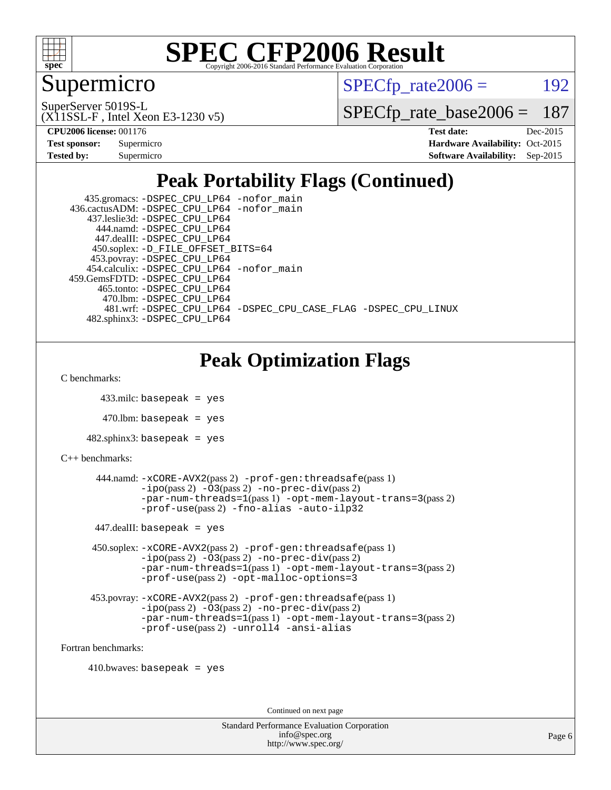

### Supermicro

 $SPECTp\_rate2006 = 192$ 

(X11SSL-F , Intel Xeon E3-1230 v5) SuperServer 5019S-L

[SPECfp\\_rate\\_base2006 =](http://www.spec.org/auto/cpu2006/Docs/result-fields.html#SPECfpratebase2006) 187

| <b>Test sponsor:</b> | Supermicro |  |  |  |  |
|----------------------|------------|--|--|--|--|
| <b>Tested by:</b>    | Supermicro |  |  |  |  |

**[CPU2006 license:](http://www.spec.org/auto/cpu2006/Docs/result-fields.html#CPU2006license)** 001176 **[Test date:](http://www.spec.org/auto/cpu2006/Docs/result-fields.html#Testdate)** Dec-2015 **[Hardware Availability:](http://www.spec.org/auto/cpu2006/Docs/result-fields.html#HardwareAvailability)** Oct-2015 **[Software Availability:](http://www.spec.org/auto/cpu2006/Docs/result-fields.html#SoftwareAvailability)** Sep-2015

## **[Peak Portability Flags \(Continued\)](http://www.spec.org/auto/cpu2006/Docs/result-fields.html#PeakPortabilityFlags)**

| 435.gromacs: -DSPEC_CPU_LP64 -nofor_main                       |
|----------------------------------------------------------------|
| 436.cactusADM: -DSPEC CPU LP64 -nofor main                     |
| 437.leslie3d: -DSPEC CPU LP64                                  |
| 444.namd: -DSPEC CPU LP64                                      |
| 447.dealII: -DSPEC CPU LP64                                    |
| 450.soplex: -D_FILE_OFFSET_BITS=64                             |
| 453.povray: -DSPEC_CPU_LP64                                    |
| 454.calculix: -DSPEC CPU LP64 -nofor main                      |
| 459. GemsFDTD: - DSPEC CPU LP64                                |
| 465.tonto: -DSPEC CPU LP64                                     |
| 470.1bm: -DSPEC_CPU_LP64                                       |
| 481.wrf: -DSPEC CPU LP64 -DSPEC CPU CASE FLAG -DSPEC CPU LINUX |
| 482.sphinx3: -DSPEC CPU LP64                                   |

## **[Peak Optimization Flags](http://www.spec.org/auto/cpu2006/Docs/result-fields.html#PeakOptimizationFlags)**

[C benchmarks](http://www.spec.org/auto/cpu2006/Docs/result-fields.html#Cbenchmarks):

```
 433.milc: basepeak = yes
```
 $470.$ lbm: basepeak = yes

```
482.sphinx3: basepeak = yes
```

```
C++ benchmarks:
```

```
 444.namd: -xCORE-AVX2(pass 2) -prof-gen:threadsafe(pass 1)
              -no-prec-div(pass 2)-par-num-threads=1(pass 1) -opt-mem-layout-trans=3(pass 2)
              -prof-use(pass 2) -fno-alias -auto-ilp32
     447.dealII: basepeak = yes
      450.soplex: -xCORE-AVX2(pass 2) -prof-gen:threadsafe(pass 1)
              -ipo(pass 2) -O3(pass 2) -no-prec-div(pass 2)
              -par-num-threads=1(pass 1) -opt-mem-layout-trans=3(pass 2)
              -prof-use(pass 2) -opt-malloc-options=3
      453.povray: -xCORE-AVX2(pass 2) -prof-gen:threadsafe(pass 1)
              -no-prec-div(pass 2)-par-num-threads=1(pass 1) -opt-mem-layout-trans=3(pass 2)
              -prof-use(pass 2) -unroll4 -ansi-alias
Fortran benchmarks:
```
 $410.bwaves: basepeak = yes$ 

Continued on next page

| <b>Standard Performance Evaluation Corporation</b> |
|----------------------------------------------------|
| info@spec.org                                      |
| http://www.spec.org/                               |